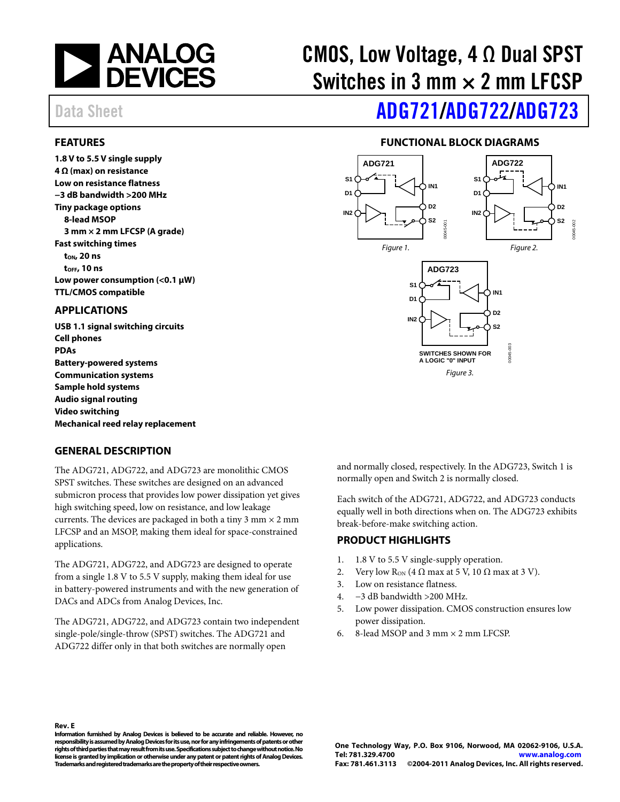

# CMOS, Low Voltage,  $4 \Omega$  Dual SPST Switches in 3 mm  $\times$  2 mm LFCSP

# Data Sheet **[ADG721/](www.analog.com/ADG721)[ADG722/](www.analog.com/ADG722)[ADG723](www.analog.com/ADG723)**

### <span id="page-0-0"></span>**FEATURES**

**1.8 V to 5.5 V single supply 4 Ω (max) on resistance Low on resistance flatness −3 dB bandwidth >200 MHz Tiny package options 8-lead MSOP 3 mm × 2 mm LFCSP (A grade) Fast switching times tON, 20 ns tOFF, 10 ns Low power consumption (<0.1 μW) TTL/CMOS compatible** 

### <span id="page-0-1"></span>**APPLICATIONS**

**USB 1.1 signal switching circuits Cell phones PDAs Battery-powered systems Communication systems Sample hold systems Audio signal routing Video switching Mechanical reed relay replacement** 

### <span id="page-0-3"></span>**GENERAL DESCRIPTION**

**Rev. E** 

The ADG721, ADG722, and ADG723 are monolithic CMOS SPST switches. These switches are designed on an advanced submicron process that provides low power dissipation yet gives high switching speed, low on resistance, and low leakage currents. The devices are packaged in both a tiny  $3 \text{ mm} \times 2 \text{ mm}$ LFCSP and an MSOP, making them ideal for space-constrained applications.

The ADG721, ADG722, and ADG723 are designed to operate from a single 1.8 V to 5.5 V supply, making them ideal for use in battery-powered instruments and with the new generation of DACs and ADCs from Analog Devices, Inc.

The ADG721, ADG722, and ADG723 contain two independent single-pole/single-throw (SPST) switches. The ADG721 and ADG722 differ only in that both switches are normally open

### **FUNCTIONAL BLOCK DIAGRAMS**

<span id="page-0-2"></span>

and normally closed, respectively. In the ADG723, Switch 1 is normally open and Switch 2 is normally closed.

Each switch of the ADG721, ADG722, and ADG723 conducts equally well in both directions when on. The ADG723 exhibits break-before-make switching action.

### <span id="page-0-4"></span>**PRODUCT HIGHLIGHTS**

- 1. 1.8 V to 5.5 V single-supply operation.
- 2. Very low R<sub>ON</sub> (4  $\Omega$  max at 5 V, 10  $\Omega$  max at 3 V).
- 3. Low on resistance flatness.
- 4. −3 dB bandwidth >200 MHz.
- 5. Low power dissipation. CMOS construction ensures low power dissipation.
- 6. 8-lead MSOP and 3 mm  $\times$  2 mm LFCSP.

**Information furnished by Analog Devices is believed to be accurate and reliable. However, no responsibility is assumed by Analog Devices for its use, nor for any infringements of patents or other rights of third parties that may result from its use. Specifications subject to change without notice. No license is granted by implication or otherwise under any patent or patent rights of Analog Devices. Trademarks and registered trademarks are the property of their respective owners.**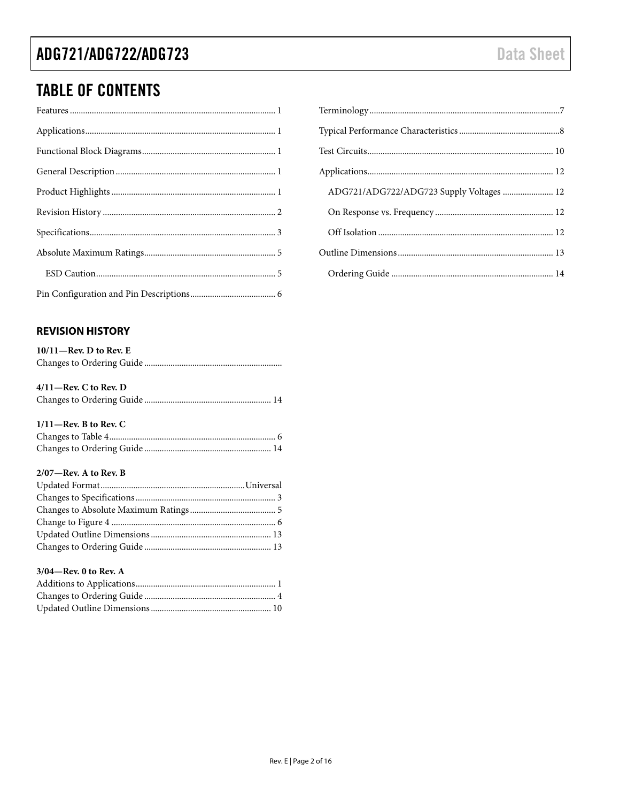## **TABLE OF CONTENTS**

### <span id="page-1-0"></span>**REVISION HISTORY**

| $10/11$ —Rev. D to Rev. E |
|---------------------------|
|                           |

### $4/11$ -Rev. C to Rev. D

|--|--|--|--|

### $1/11$ -Rev. B to Rev. C

### $2/07$ —Rev. A to Rev. B

#### 3/04-Rev. 0 to Rev. A

| ADG721/ADG722/ADG723 Supply Voltages  12 |  |
|------------------------------------------|--|
|                                          |  |
|                                          |  |
|                                          |  |
|                                          |  |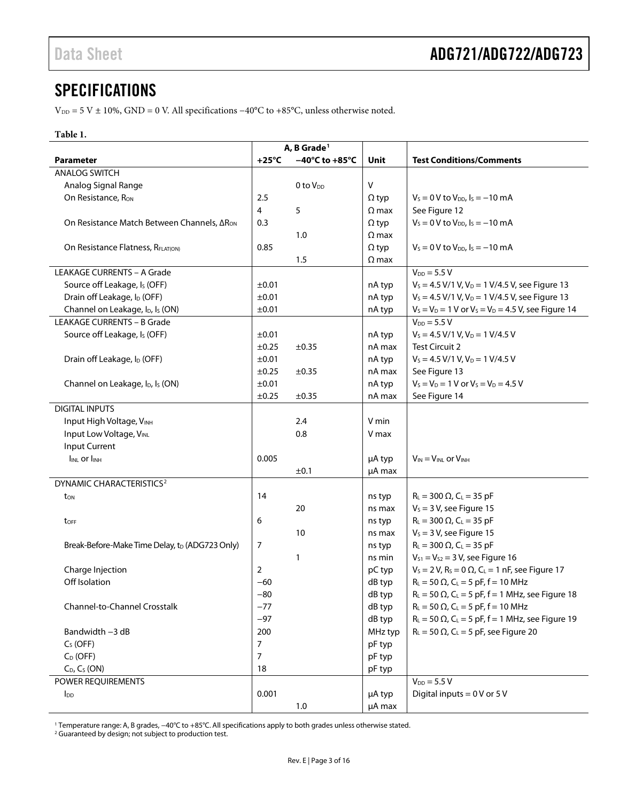### <span id="page-2-0"></span>SPECIFICATIONS

 $\rm V_{\rm DD}$  = 5 V ± 10%, GND = 0 V. All specifications −40°C to +85°C, unless otherwise noted.

### **Table 1.**

| A, B Grade <sup>1</sup>                                  |                |                                     |              |                                                                                  |
|----------------------------------------------------------|----------------|-------------------------------------|--------------|----------------------------------------------------------------------------------|
| <b>Parameter</b>                                         | $+25^{\circ}C$ | $-40^{\circ}$ C to +85 $^{\circ}$ C | Unit         | <b>Test Conditions/Comments</b>                                                  |
| <b>ANALOG SWITCH</b>                                     |                |                                     |              |                                                                                  |
| Analog Signal Range                                      |                | 0 to V <sub>DD</sub>                | $\sf V$      |                                                                                  |
| On Resistance, R <sub>ON</sub>                           | 2.5            |                                     | $\Omega$ typ | $V_s = 0$ V to $V_{DD}$ , $I_s = -10$ mA                                         |
|                                                          | 4              | 5                                   | $\Omega$ max | See Figure 12                                                                    |
| On Resistance Match Between Channels, ΔR <sub>ON</sub>   | 0.3            |                                     | $\Omega$ typ | $V_s = 0 V$ to $V_{DD}$ , $I_s = -10$ mA                                         |
|                                                          |                | 1.0                                 | $\Omega$ max |                                                                                  |
| On Resistance Flatness, RFLAT(ON)                        | 0.85           |                                     | $\Omega$ typ | $V_s = 0$ V to $V_{DD}$ , $I_s = -10$ mA                                         |
|                                                          |                | 1.5                                 | $\Omega$ max |                                                                                  |
| LEAKAGE CURRENTS - A Grade                               |                |                                     |              | $V_{DD} = 5.5 V$                                                                 |
| Source off Leakage, Is (OFF)                             | ±0.01          |                                     | nA typ       | $V_s = 4.5$ V/1 V, V <sub>D</sub> = 1 V/4.5 V, see Figure 13                     |
| Drain off Leakage, I <sub>D</sub> (OFF)                  | ±0.01          |                                     | nA typ       | $V_s = 4.5 V/1 V, V_D = 1 V/4.5 V$ , see Figure 13                               |
| Channel on Leakage, I <sub>D</sub> , I <sub>S</sub> (ON) | ±0.01          |                                     | nA typ       | $V_S = V_D = 1$ V or $V_S = V_D = 4.5$ V, see Figure 14                          |
| <b>LEAKAGE CURRENTS - B Grade</b>                        |                |                                     |              | $V_{DD} = 5.5 V$                                                                 |
| Source off Leakage, I <sub>s</sub> (OFF)                 | ±0.01          |                                     | nA typ       | $V_s = 4.5 V/1 V, V_D = 1 V/4.5 V$                                               |
|                                                          | $\pm 0.25$     | $\pm 0.35$                          | nA max       | <b>Test Circuit 2</b>                                                            |
| Drain off Leakage, I <sub>D</sub> (OFF)                  | ±0.01          |                                     | nA typ       | $V_s = 4.5$ V/1 V, V <sub>D</sub> = 1 V/4.5 V                                    |
|                                                          | ±0.25          | $\pm 0.35$                          | nA max       | See Figure 13                                                                    |
| Channel on Leakage, I <sub>D</sub> , I <sub>s</sub> (ON) | ±0.01          |                                     | nA typ       | $V_S = V_D = 1$ V or $V_S = V_D = 4.5$ V                                         |
|                                                          | ±0.25          | $\pm 0.35$                          | nA max       | See Figure 14                                                                    |
| <b>DIGITAL INPUTS</b>                                    |                |                                     |              |                                                                                  |
| Input High Voltage, VINH                                 |                | 2.4                                 | V min        |                                                                                  |
| Input Low Voltage, VINL                                  |                | 0.8                                 | V max        |                                                                                  |
| <b>Input Current</b>                                     |                |                                     |              |                                                                                  |
| $I_{INL}$ or $I_{INH}$                                   | 0.005          |                                     | µA typ       | $V_{IN} = V_{INL}$ or $V_{INH}$                                                  |
|                                                          |                | ±0.1                                | µA max       |                                                                                  |
| DYNAMIC CHARACTERISTICS <sup>2</sup>                     |                |                                     |              |                                                                                  |
| t <sub>on</sub>                                          | 14             |                                     | ns typ       | $R_{L} = 300 \Omega$ , C <sub>L</sub> = 35 pF                                    |
|                                                          |                | 20                                  | ns max       | $V_s = 3 V$ , see Figure 15                                                      |
| toff                                                     | 6              |                                     | ns typ       | $R_L = 300 \Omega$ , $C_L = 35 pF$                                               |
|                                                          |                | 10                                  | ns max       | $V_s = 3 V$ , see Figure 15                                                      |
| Break-Before-Make Time Delay, to (ADG723 Only)           | 7              |                                     | ns typ       | $R_L = 300 \Omega$ , $C_L = 35 pF$                                               |
|                                                          |                | 1                                   | ns min       | $V_{S1} = V_{S2} = 3 V$ , see Figure 16                                          |
| Charge Injection                                         | 2              |                                     | pC typ       | $V_s = 2 V$ , R <sub>s</sub> = 0 $\Omega$ , C <sub>L</sub> = 1 nF, see Figure 17 |
| Off Isolation                                            | $-60$          |                                     | dB typ       | $R_L = 50 \Omega$ , C <sub>L</sub> = 5 pF, f = 10 MHz                            |
|                                                          | -80            |                                     | dB typ       | $R_L$ = 50 $\Omega$ , C <sub>L</sub> = 5 pF, f = 1 MHz, see Figure 18            |
| Channel-to-Channel Crosstalk                             | $-77$          |                                     | dB typ       | $R_L = 50 \Omega$ , C <sub>L</sub> = 5 pF, f = 10 MHz                            |
|                                                          | $-97$          |                                     | dB typ       | $R_L = 50 \Omega$ , C <sub>L</sub> = 5 pF, f = 1 MHz, see Figure 19              |
| Bandwidth -3 dB                                          | 200            |                                     | MHz typ      | $R_L = 50 \Omega$ , C <sub>L</sub> = 5 pF, see Figure 20                         |
| $CS$ (OFF)                                               | 7              |                                     | pF typ       |                                                                                  |
| $C_D$ (OFF)                                              | $\overline{7}$ |                                     | pF typ       |                                                                                  |
| $C_D$ , $C_S$ (ON)                                       | 18             |                                     | pF typ       |                                                                                  |
| POWER REQUIREMENTS                                       |                |                                     |              | $V_{DD} = 5.5 V$                                                                 |
| <b>I</b> <sub>DD</sub>                                   | 0.001          |                                     | µA typ       | Digital inputs = $0V$ or $5V$                                                    |
|                                                          |                | 1.0                                 | µA max       |                                                                                  |

<sup>1</sup> Temperature range: A, B grades, −40°C to +85°C. All specifications apply to both grades unless otherwise stated.

<sup>2</sup> Guaranteed by design; not subject to production test.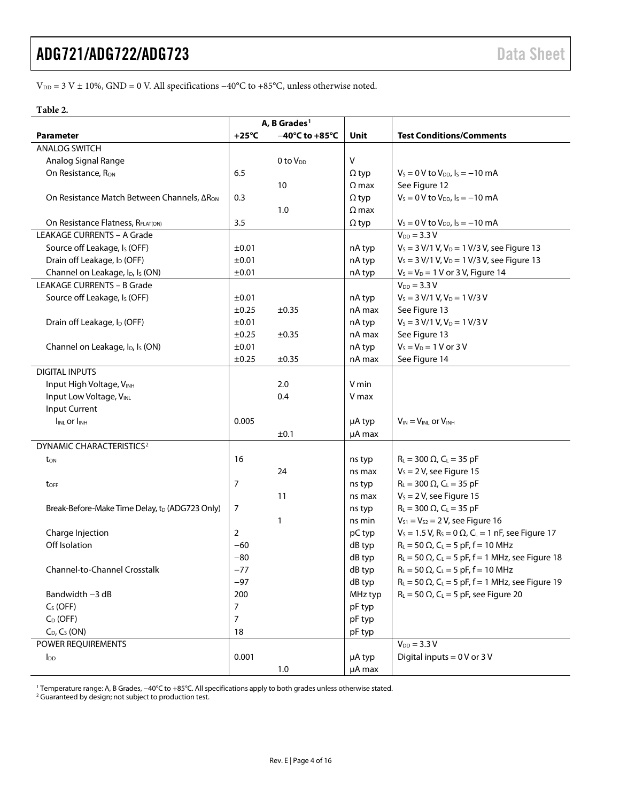V<sub>DD</sub> = 3 V ± 10%, GND = 0 V. All specifications −40°C to +85°C, unless otherwise noted.

#### **Table 2.**

|                                                          | A, B Grades <sup>1</sup> |                                     |              |                                                                                   |
|----------------------------------------------------------|--------------------------|-------------------------------------|--------------|-----------------------------------------------------------------------------------|
| <b>Parameter</b>                                         | $+25^{\circ}$ C          | $-40^{\circ}$ C to +85 $^{\circ}$ C | Unit         | <b>Test Conditions/Comments</b>                                                   |
| <b>ANALOG SWITCH</b>                                     |                          |                                     |              |                                                                                   |
| Analog Signal Range                                      |                          | $0$ to $V_{DD}$                     | $\sf V$      |                                                                                   |
| On Resistance, R <sub>ON</sub>                           | 6.5                      |                                     | $\Omega$ typ | $V_s = 0 V$ to $V_{DD}$ , $I_s = -10$ mA                                          |
|                                                          |                          | 10                                  | $\Omega$ max | See Figure 12                                                                     |
| On Resistance Match Between Channels, ΔR <sub>ON</sub>   | 0.3                      |                                     | $\Omega$ typ | $V_s = 0$ V to $V_{DD}$ , $I_s = -10$ mA                                          |
|                                                          |                          | 1.0                                 | $\Omega$ max |                                                                                   |
| On Resistance Flatness, RFLAT(ON)                        | 3.5                      |                                     | $\Omega$ typ | $V_s = 0$ V to $V_{DD}$ , $I_s = -10$ mA                                          |
| <b>LEAKAGE CURRENTS - A Grade</b>                        |                          |                                     |              | $V_{DD} = 3.3 V$                                                                  |
| Source off Leakage, I <sub>s</sub> (OFF)                 | ±0.01                    |                                     | nA typ       | $V_s = 3 V/1 V$ , $V_D = 1 V/3 V$ , see Figure 13                                 |
| Drain off Leakage, I <sub>D</sub> (OFF)                  | ±0.01                    |                                     | nA typ       | $V_s = 3 V/1 V$ , $V_D = 1 V/3 V$ , see Figure 13                                 |
| Channel on Leakage, I <sub>D</sub> , I <sub>S</sub> (ON) | ±0.01                    |                                     | nA typ       | $V_S = V_D = 1$ V or 3 V, Figure 14                                               |
| <b>LEAKAGE CURRENTS - B Grade</b>                        |                          |                                     |              | $V_{DD} = 3.3 V$                                                                  |
| Source off Leakage, Is (OFF)                             | ±0.01                    |                                     | nA typ       | $V_S = 3 V/1 V$ , $V_D = 1 V/3 V$                                                 |
|                                                          | ±0.25                    | $\pm 0.35$                          | nA max       | See Figure 13                                                                     |
| Drain off Leakage, I <sub>D</sub> (OFF)                  | ±0.01                    |                                     | nA typ       | $V_S = 3 V/1 V$ , $V_D = 1 V/3 V$                                                 |
|                                                          | ±0.25                    | $\pm 0.35$                          | nA max       | See Figure 13                                                                     |
| Channel on Leakage, I <sub>D</sub> , I <sub>S</sub> (ON) | ±0.01                    |                                     | nA typ       | $V_S = V_D = 1 V$ or 3 V                                                          |
|                                                          | ±0.25                    | ±0.35                               | nA max       | See Figure 14                                                                     |
| <b>DIGITAL INPUTS</b>                                    |                          |                                     |              |                                                                                   |
| Input High Voltage, VINH                                 |                          | 2.0                                 | V min        |                                                                                   |
| Input Low Voltage, VINL                                  |                          | 0.4                                 | V max        |                                                                                   |
| Input Current                                            |                          |                                     |              |                                                                                   |
| <b>INLOr INH</b>                                         | 0.005                    |                                     | µA typ       | $V_{IN} = V_{INL}$ or $V_{INH}$                                                   |
|                                                          |                          | ±0.1                                | µA max       |                                                                                   |
| DYNAMIC CHARACTERISTICS <sup>2</sup>                     |                          |                                     |              |                                                                                   |
| ton                                                      | 16                       |                                     | ns typ       | $R_L = 300 \Omega$ , $C_L = 35 pF$                                                |
|                                                          |                          | 24                                  | ns max       | $V_s = 2 V$ , see Figure 15                                                       |
| toff                                                     | 7                        |                                     | ns typ       | $R_L = 300 \Omega$ , $C_L = 35 pF$                                                |
|                                                          |                          | 11                                  | ns max       | $V_s = 2 V$ , see Figure 15                                                       |
| Break-Before-Make Time Delay, to (ADG723 Only)           | 7                        |                                     | ns typ       | $R_L = 300 \Omega$ , $C_L = 35 pF$                                                |
|                                                          |                          | 1                                   | ns min       | $V_{S1} = V_{S2} = 2 V$ , see Figure 16                                           |
| Charge Injection                                         | $\overline{2}$           |                                     | pC typ       | $V_s = 1.5$ V, R <sub>s</sub> = 0 $\Omega$ , C <sub>L</sub> = 1 nF, see Figure 17 |
| Off Isolation                                            | -60                      |                                     | dB typ       | $R_L = 50 \Omega$ , C <sub>L</sub> = 5 pF, f = 10 MHz                             |
|                                                          | $-80$                    |                                     | dB typ       | $R_L$ = 50 $\Omega$ , C <sub>L</sub> = 5 pF, f = 1 MHz, see Figure 18             |
| Channel-to-Channel Crosstalk                             | $-77$                    |                                     | dB typ       | $R_{L} = 50 \Omega$ , C <sub>L</sub> = 5 pF, f = 10 MHz                           |
|                                                          | $-97$                    |                                     | dB typ       | $R_L$ = 50 $\Omega$ , C <sub>L</sub> = 5 pF, f = 1 MHz, see Figure 19             |
| Bandwidth -3 dB                                          | 200                      |                                     | MHz typ      | $R_L = 50 \Omega$ , C <sub>L</sub> = 5 pF, see Figure 20                          |
| $CS$ (OFF)                                               | $\overline{7}$           |                                     | pF typ       |                                                                                   |
| $C_D$ (OFF)                                              | $\overline{7}$           |                                     | pF typ       |                                                                                   |
| $C_D$ , $C_S$ (ON)                                       | 18                       |                                     | pF typ       |                                                                                   |
| POWER REQUIREMENTS                                       |                          |                                     |              | $V_{DD} = 3.3 V$                                                                  |
| $I_{DD}$                                                 | 0.001                    |                                     | µA typ       | Digital inputs = $0V$ or $3V$                                                     |
|                                                          |                          | $1.0\,$                             | µA max       |                                                                                   |

<sup>1</sup> Temperature range: A, B Grades, −40°C to +85°C. All specifications apply to both grades unless otherwise stated.

<sup>2</sup> Guaranteed by design; not subject to production test.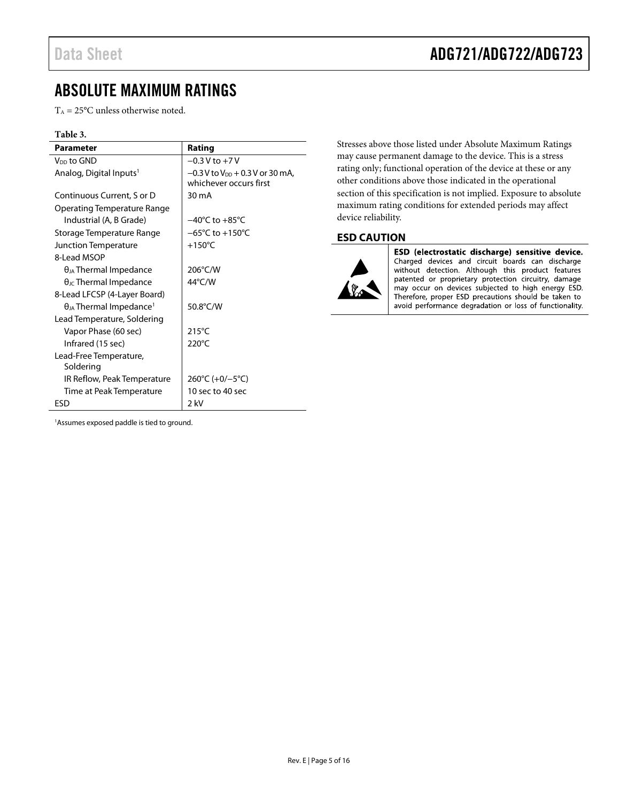## <span id="page-4-1"></span>Data Sheet **ADG721/ADG722/ADG723**

## <span id="page-4-0"></span>ABSOLUTE MAXIMUM RATINGS

 $T_A = 25$ °C unless otherwise noted.

### **Table 3.**

| Parameter                                    | Rating                                                                  |
|----------------------------------------------|-------------------------------------------------------------------------|
| V <sub>DD</sub> to GND                       | $-0.3$ V to $+7$ V                                                      |
| Analog, Digital Inputs <sup>1</sup>          | $-0.3$ V to V <sub>DD</sub> + 0.3 V or 30 mA,<br>whichever occurs first |
| Continuous Current, S or D                   | 30 mA                                                                   |
| Operating Temperature Range                  |                                                                         |
| Industrial (A, B Grade)                      | $-40^{\circ}$ C to $+85^{\circ}$ C                                      |
| Storage Temperature Range                    | $-65^{\circ}$ C to $+150^{\circ}$ C                                     |
| Junction Temperature                         | $+150^{\circ}$ C                                                        |
| 8-Lead MSOP                                  |                                                                         |
| $\theta_{JA}$ Thermal Impedance              | 206°C/W                                                                 |
| $\theta_{\text{JC}}$ Thermal Impedance       | 44°C/W                                                                  |
| 8-Lead LFCSP (4-Layer Board)                 |                                                                         |
| $\theta_{JA}$ Thermal Impedance <sup>1</sup> | 50.8°C/W                                                                |
| Lead Temperature, Soldering                  |                                                                         |
| Vapor Phase (60 sec)                         | $215^{\circ}$ C                                                         |
| Infrared (15 sec)                            | $220^{\circ}$ C                                                         |
| Lead-Free Temperature,<br>Soldering          |                                                                         |
| IR Reflow, Peak Temperature                  | 260°C (+0/-5°C)                                                         |
| Time at Peak Temperature                     | 10 sec to 40 sec                                                        |
| ESD                                          | 2 kV                                                                    |

Stresses above those listed under Absolute Maximum Ratings may cause permanent damage to the device. This is a stress rating only; functional operation of the device at these or any other conditions above those indicated in the operational section of this specification is not implied. Exposure to absolute maximum rating conditions for extended periods may affect device reliability.

### **ESD CAUTION**



ESD (electrostatic discharge) sensitive device. Charged devices and circuit boards can discharge without detection. Although this product features patented or proprietary protection circuitry, damage may occur on devices subjected to high energy ESD. Therefore, proper ESD precautions should be taken to avoid performance degradation or loss of functionality.

1 Assumes exposed paddle is tied to ground.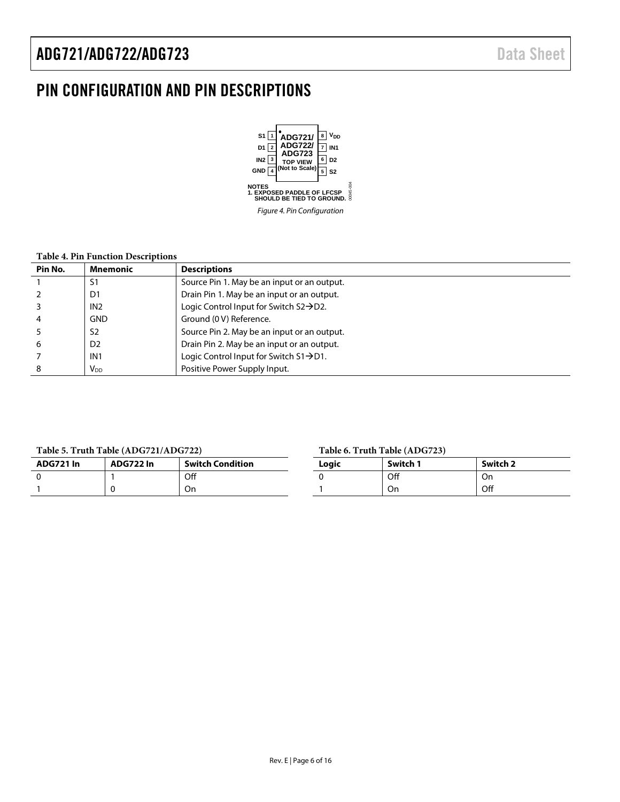## <span id="page-5-0"></span>PIN CONFIGURATION AND PIN DESCRIPTIONS



#### **Table 4. Pin Function Descriptions**

| Pin No. | <b>Mnemonic</b>        | <b>Descriptions</b>                                  |
|---------|------------------------|------------------------------------------------------|
|         | S1                     | Source Pin 1. May be an input or an output.          |
|         | D <sub>1</sub>         | Drain Pin 1. May be an input or an output.           |
|         | IN2                    | Logic Control Input for Switch $S2 \rightarrow D2$ . |
| 4       | <b>GND</b>             | Ground (0 V) Reference.                              |
|         | S <sub>2</sub>         | Source Pin 2. May be an input or an output.          |
| 6       | D <sub>2</sub>         | Drain Pin 2. May be an input or an output.           |
|         | IN1                    | Logic Control Input for Switch S1→D1.                |
| 8       | <b>V</b> <sub>DD</sub> | Positive Power Supply Input.                         |

#### **Table 5. Truth Table (ADG721/ADG722)**

| ADG721 In | ADG722 In | <b>Switch Condition</b> |
|-----------|-----------|-------------------------|
|           |           | Off                     |
|           |           |                         |

#### **Table 6. Truth Table (ADG723)**

| $14010$ of $1144$ $14010$ $(1120)$ |          |          |  |  |
|------------------------------------|----------|----------|--|--|
| Logic                              | Switch 1 | Switch 2 |  |  |
|                                    | Off      | On       |  |  |
|                                    | On       | Off      |  |  |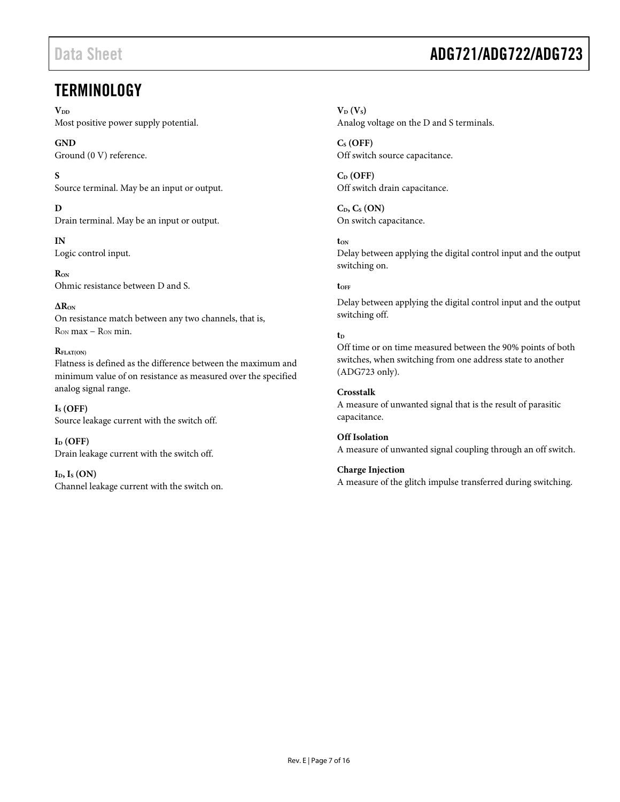## <span id="page-6-0"></span>**TERMINOLOGY**

 $V_{DD}$ 

Most positive power supply potential.

**GND**

Ground (0 V) reference.

**S**

Source terminal. May be an input or output.

**D**

Drain terminal. May be an input or output.

**IN** Logic control input.

**RON** Ohmic resistance between D and S.

**∆RON** On resistance match between any two channels, that is, RON max − RON min.

### **RFLAT(ON)**

Flatness is defined as the difference between the maximum and minimum value of on resistance as measured over the specified analog signal range.

**IS (OFF)** Source leakage current with the switch off.

 $I_D$  (OFF) Drain leakage current with the switch off.

 $I<sub>D</sub>, I<sub>S</sub> (ON)$ Channel leakage current with the switch on.

## Data Sheet **ADG721/ADG722/ADG723**

 $V_D$   $(V_S)$ Analog voltage on the D and S terminals.

**CS (OFF)** Off switch source capacitance.

**CD (OFF)** Off switch drain capacitance.

**CD, CS (ON)** On switch capacitance.

**tON** Delay between applying the digital control input and the output switching on.

**tOFF**

Delay between applying the digital control input and the output switching off.

### $t_D$

Off time or on time measured between the 90% points of both switches, when switching from one address state to another (ADG723 only).

### **Crosstalk**

A measure of unwanted signal that is the result of parasitic capacitance.

**Off Isolation** A measure of unwanted signal coupling through an off switch.

**Charge Injection** A measure of the glitch impulse transferred during switching.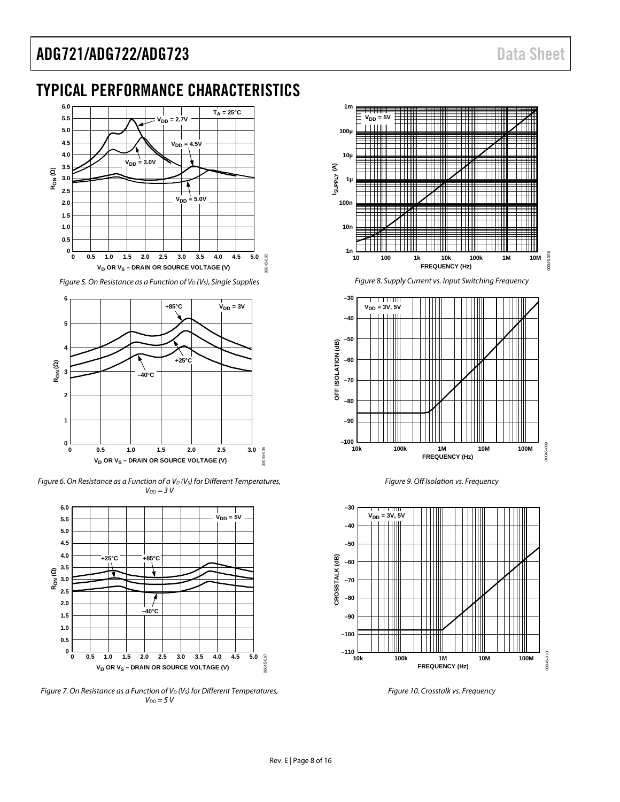## <span id="page-7-0"></span>TYPICAL PERFORMANCE CHARACTERISTICS



*Figure 5. On Resistance as a Function of V<sub>D</sub> (V<sub>s</sub>), Single Supplies* 



*Figure 6. On Resistance as a Function of a V<sub>D</sub> (V<sub>S</sub>) for Different Temperatures, VDD = 3 V*



*Figure 7. On Resistance as a Function of V<sub>D</sub> (V<sub>S</sub>) for Different Temperatures,*  $V_{DD} = 5 V$ 



*Figure 8. Supply Current vs. Input Switching Frequency*



*Figure 9. Off Isolation vs. Frequency*

<span id="page-7-1"></span>

*Figure 10. Crosstalk vs. Frequency*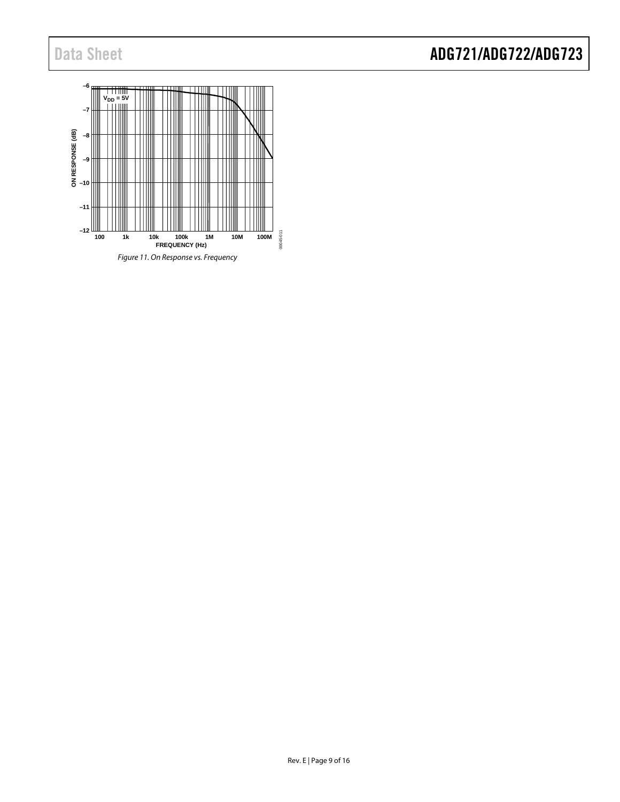<span id="page-8-0"></span>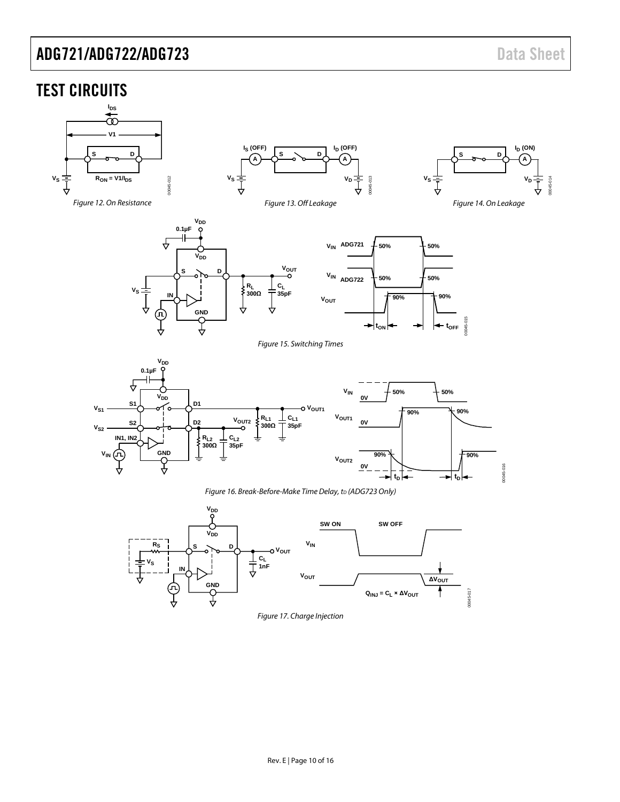### <span id="page-9-0"></span>TEST CIRCUITS

<span id="page-9-3"></span><span id="page-9-2"></span><span id="page-9-1"></span>

<span id="page-9-6"></span><span id="page-9-5"></span><span id="page-9-4"></span>

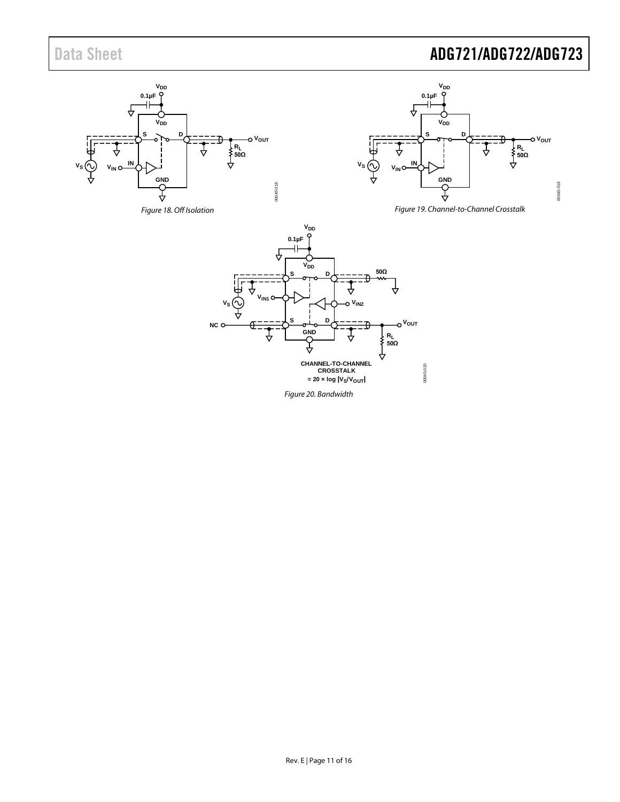## Data Sheet **ADG721/ADG722/ADG723**

<span id="page-10-2"></span><span id="page-10-1"></span><span id="page-10-0"></span>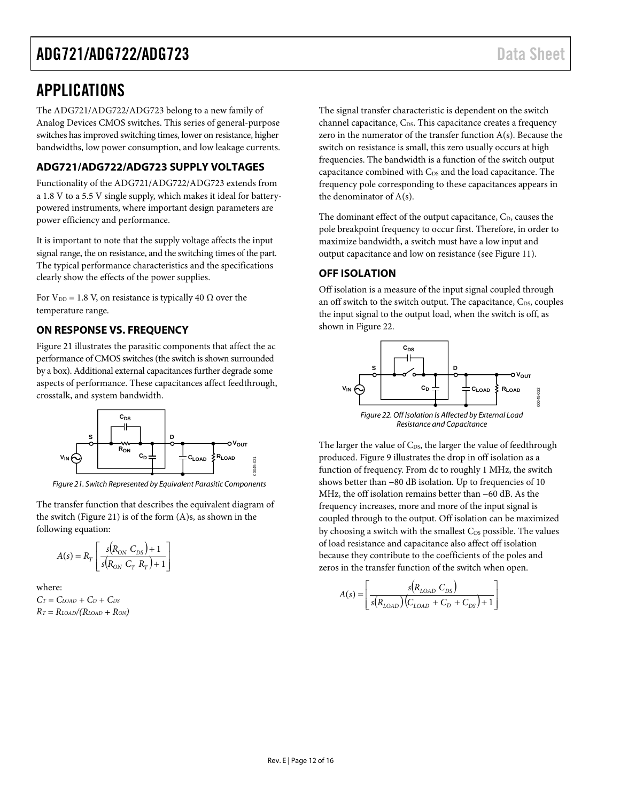## <span id="page-11-0"></span>APPLICATIONS

The ADG721/ADG722/ADG723 belong to a new family of Analog Devices CMOS switches. This series of general-purpose switches has improved switching times, lower on resistance, higher bandwidths, low power consumption, and low leakage currents.

### <span id="page-11-1"></span>**ADG721/ADG722/ADG723 SUPPLY VOLTAGES**

Functionality of the ADG721/ADG722/ADG723 extends from a 1.8 V to a 5.5 V single supply, which makes it ideal for batterypowered instruments, where important design parameters are power efficiency and performance.

It is important to note that the supply voltage affects the input signal range, the on resistance, and the switching times of the part. The typical performance characteristics and the specifications clearly show the effects of the power supplies.

For  $V_{DD} = 1.8$  V, on resistance is typically 40  $\Omega$  over the temperature range.

### <span id="page-11-2"></span>**ON RESPONSE VS. FREQUENCY**

[Figure 21](#page-11-4) illustrates the parasitic components that affect the ac performance of CMOS switches (the switch is shown surrounded by a box). Additional external capacitances further degrade some aspects of performance. These capacitances affect feedthrough, crosstalk, and system bandwidth.



<span id="page-11-4"></span>*Figure 21. Switch Represented by Equivalent Parasitic Components*

The transfer function that describes the equivalent diagram of the switch [\(Figure 21\)](#page-11-4) is of the form (A)s, as shown in the following equation:

$$
A(s) = R_T \left[ \frac{s(R_{ON} C_{DS}) + 1}{s(R_{ON} C_T R_T) + 1} \right]
$$

where:

 $C_T = C_{LOAD} + C_D + C_{DS}$  $R_T = R_{LOAD}/(R_{LOAD} + R_{ON})$  The signal transfer characteristic is dependent on the switch channel capacitance, C<sub>DS</sub>. This capacitance creates a frequency zero in the numerator of the transfer function A(s). Because the switch on resistance is small, this zero usually occurs at high frequencies. The bandwidth is a function of the switch output capacitance combined with C<sub>DS</sub> and the load capacitance. The frequency pole corresponding to these capacitances appears in the denominator of A(s).

The dominant effect of the output capacitance,  $C<sub>D</sub>$ , causes the pole breakpoint frequency to occur first. Therefore, in order to maximize bandwidth, a switch must have a low input and output capacitance and low on resistance (see [Figure 11\)](#page-8-0).

### <span id="page-11-3"></span>**OFF ISOLATION**

Off isolation is a measure of the input signal coupled through an off switch to the switch output. The capacitance,  $C_{DS}$ , couples the input signal to the output load, when the switch is off, as shown in [Figure 22.](#page-11-5)



<span id="page-11-5"></span>The larger the value of  $C_{DS}$ , the larger the value of feedthrough produced[. Figure 9](#page-7-1) illustrates the drop in off isolation as a function of frequency. From dc to roughly 1 MHz, the switch shows better than −80 dB isolation. Up to frequencies of 10 MHz, the off isolation remains better than −60 dB. As the frequency increases, more and more of the input signal is coupled through to the output. Off isolation can be maximized by choosing a switch with the smallest C<sub>DS</sub> possible. The values of load resistance and capacitance also affect off isolation because they contribute to the coefficients of the poles and zeros in the transfer function of the switch when open.

$$
A(s) = \left[ \frac{s(R_{LOAD} C_{DS})}{s(R_{LOAD})(C_{LOAD} + C_D + C_{DS}) + 1} \right]
$$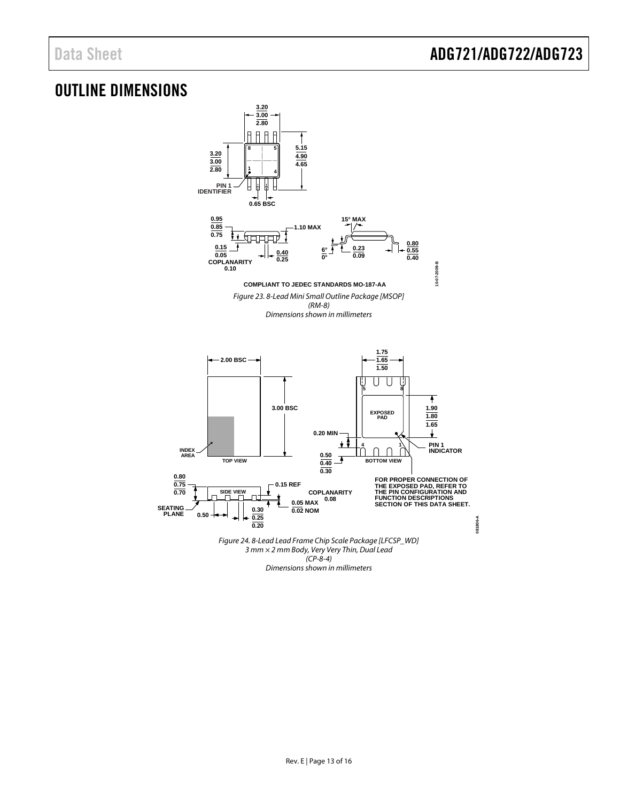## <span id="page-12-0"></span>OUTLINE DIMENSIONS

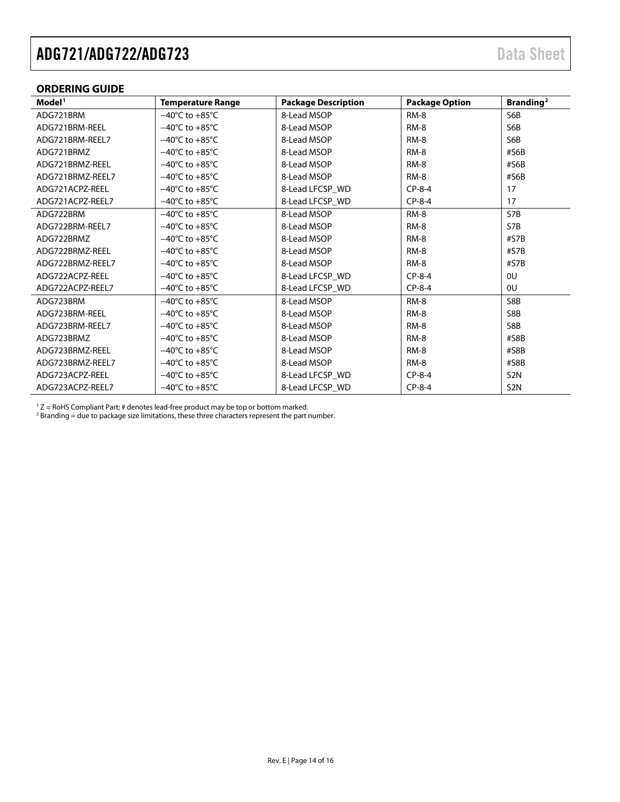### <span id="page-13-0"></span>**ORDERING GUIDE**

| Model <sup>1</sup> | <b>Temperature Range</b>           | <b>Package Description</b> | <b>Package Option</b> | Branding <sup>2</sup> |
|--------------------|------------------------------------|----------------------------|-----------------------|-----------------------|
| ADG721BRM          | $-40^{\circ}$ C to $+85^{\circ}$ C | 8-Lead MSOP                | <b>RM-8</b>           | S6B                   |
| ADG721BRM-REEL     | $-40^{\circ}$ C to $+85^{\circ}$ C | 8-Lead MSOP                | $RM-8$                | S6B                   |
| ADG721BRM-REEL7    | $-40^{\circ}$ C to $+85^{\circ}$ C | 8-Lead MSOP                | RM-8                  | S6B                   |
| ADG721BRMZ         | $-40^{\circ}$ C to $+85^{\circ}$ C | 8-Lead MSOP                | $RM-8$                | #S6B                  |
| ADG721BRMZ-REEL    | $-40^{\circ}$ C to $+85^{\circ}$ C | 8-Lead MSOP                | $RM-8$                | #S6B                  |
| ADG721BRMZ-REEL7   | $-40^{\circ}$ C to $+85^{\circ}$ C | 8-Lead MSOP                | $RM-8$                | #S6B                  |
| ADG721ACPZ-REEL    | $-40^{\circ}$ C to $+85^{\circ}$ C | 8-Lead LFCSP WD            | $CP-8-4$              | 17                    |
| ADG721ACPZ-REEL7   | $-40^{\circ}$ C to $+85^{\circ}$ C | 8-Lead LFCSP_WD            | $CP-8-4$              | 17                    |
| ADG722BRM          | $-40^{\circ}$ C to $+85^{\circ}$ C | 8-Lead MSOP                | $RM-8$                | S7B                   |
| ADG722BRM-REEL7    | $-40^{\circ}$ C to $+85^{\circ}$ C | 8-Lead MSOP                | <b>RM-8</b>           | S7B                   |
| ADG722BRMZ         | $-40^{\circ}$ C to $+85^{\circ}$ C | 8-Lead MSOP                | RM-8                  | #S7B                  |
| ADG722BRMZ-REEL    | $-40^{\circ}$ C to $+85^{\circ}$ C | 8-Lead MSOP                | RM-8                  | #S7B                  |
| ADG722BRMZ-REEL7   | $-40^{\circ}$ C to $+85^{\circ}$ C | 8-Lead MSOP                | $RM-8$                | #S7B                  |
| ADG722ACPZ-REEL    | $-40^{\circ}$ C to $+85^{\circ}$ C | 8-Lead LFCSP WD            | $CP-8-4$              | 0U                    |
| ADG722ACPZ-REEL7   | $-40^{\circ}$ C to $+85^{\circ}$ C | 8-Lead LFCSP_WD            | $CP-8-4$              | <sub>0U</sub>         |
| ADG723BRM          | $-40^{\circ}$ C to $+85^{\circ}$ C | 8-Lead MSOP                | $RM-8$                | S8B                   |
| ADG723BRM-REEL     | $-40^{\circ}$ C to $+85^{\circ}$ C | 8-Lead MSOP                | $RM-8$                | S8B                   |
| ADG723BRM-REEL7    | $-40^{\circ}$ C to $+85^{\circ}$ C | 8-Lead MSOP                | $RM-8$                | S8B                   |
| ADG723BRMZ         | $-40^{\circ}$ C to $+85^{\circ}$ C | 8-Lead MSOP                | RM-8                  | #S8B                  |
| ADG723BRMZ-REEL    | $-40^{\circ}$ C to $+85^{\circ}$ C | 8-Lead MSOP                | RM-8                  | #S8B                  |
| ADG723BRMZ-REEL7   | $-40^{\circ}$ C to $+85^{\circ}$ C | 8-Lead MSOP                | $RM-8$                | #S8B                  |
| ADG723ACPZ-REEL    | $-40^{\circ}$ C to $+85^{\circ}$ C | 8-Lead LFCSP WD            | $CP-8-4$              | S <sub>2</sub> N      |
| ADG723ACPZ-REEL7   | $-40^{\circ}$ C to $+85^{\circ}$ C | 8-Lead LFCSP WD            | $CP-8-4$              | S <sub>2</sub> N      |

 $1 Z =$  RoHS Compliant Part; # denotes lead-free product may be top or bottom marked.

 $^2$  Branding = due to package size limitations, these three characters represent the part number.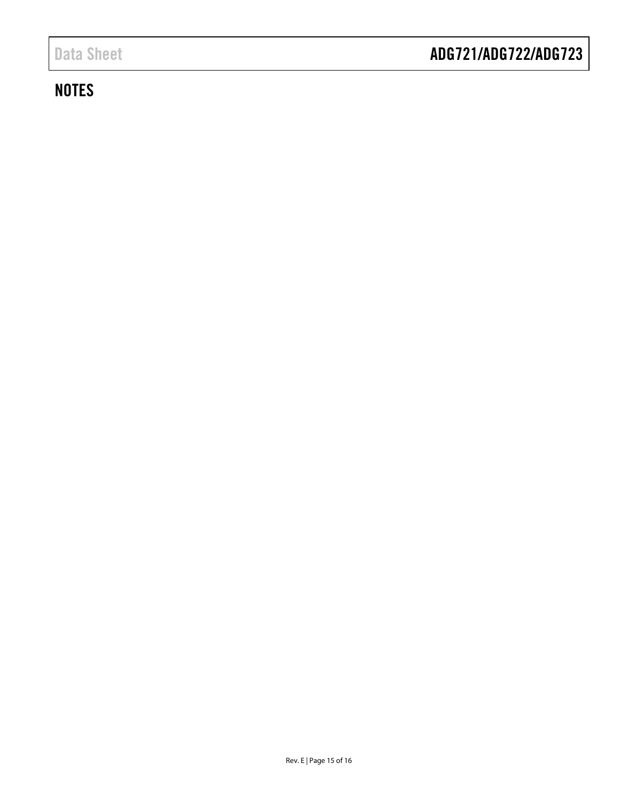## **NOTES**